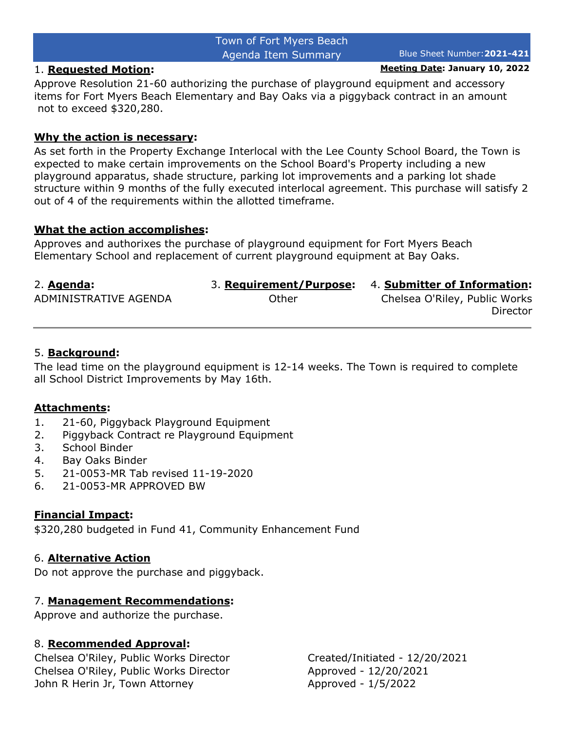# Town of Fort Myers Beach Agenda Item Summary Blue Sheet Number:**2021-421**

1. **Requested Motion: Meeting Date: January 10, 2022**

Approve Resolution 21-60 authorizing the purchase of playground equipment and accessory items for Fort Myers Beach Elementary and Bay Oaks via a piggyback contract in an amount not to exceed \$320,280.

#### **Why the action is necessary:**

As set forth in the Property Exchange Interlocal with the Lee County School Board, the Town is expected to make certain improvements on the School Board's Property including a new playground apparatus, shade structure, parking lot improvements and a parking lot shade structure within 9 months of the fully executed interlocal agreement. This purchase will satisfy 2 out of 4 of the requirements within the allotted timeframe.

#### **What the action accomplishes:**

Approves and authorixes the purchase of playground equipment for Fort Myers Beach Elementary School and replacement of current playground equipment at Bay Oaks.

| 2. Agenda:            |       | 3. Requirement/Purpose: 4. Submitter of Information: |
|-----------------------|-------|------------------------------------------------------|
| ADMINISTRATIVE AGENDA | Other | Chelsea O'Riley, Public Works                        |
|                       |       | Director                                             |

# 5. **Background:**

The lead time on the playground equipment is 12-14 weeks. The Town is required to complete all School District Improvements by May 16th.

# **Attachments:**

- 1. 21-60, Piggyback Playground Equipment
- 2. Piggyback Contract re Playground Equipment
- 3. School Binder
- 4. Bay Oaks Binder
- 5. 21-0053-MR Tab revised 11-19-2020
- 6. 21-0053-MR APPROVED BW

# **Financial Impact:**

\$320,280 budgeted in Fund 41, Community Enhancement Fund

# 6. **Alternative Action**

Do not approve the purchase and piggyback.

# 7. **Management Recommendations:**

Approve and authorize the purchase.

# 8. **Recommended Approval:**

Chelsea O'Riley, Public Works Director Created/Initiated - 12/20/2021 Chelsea O'Riley, Public Works Director Approved - 12/20/2021 John R Herin Jr, Town Attorney Manuel Approved - 1/5/2022